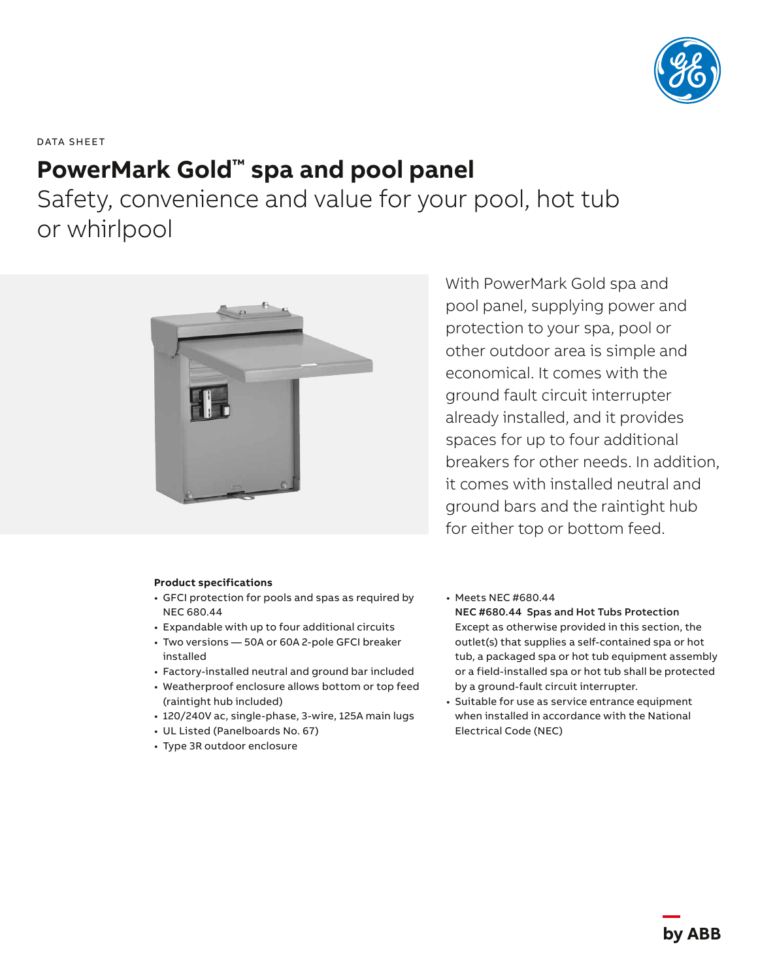

DATA SHEET

## **PowerMark Gold™ spa and pool panel**

Safety, convenience and value for your pool, hot tub or whirlpool



## **Product specifications**

- GFCI protection for pools and spas as required by NEC 680.44
- Expandable with up to four additional circuits
- Two versions 50A or 60A 2-pole GFCI breaker installed
- Factory-installed neutral and ground bar included
- Weatherproof enclosure allows bottom or top feed (raintight hub included)
- 120/240V ac, single-phase, 3-wire, 125A main lugs
- UL Listed (Panelboards No. 67)
- Type 3R outdoor enclosure

With PowerMark Gold spa and pool panel, supplying power and protection to your spa, pool or other outdoor area is simple and economical. It comes with the ground fault circuit interrupter already installed, and it provides spaces for up to four additional breakers for other needs. In addition, it comes with installed neutral and ground bars and the raintight hub for either top or bottom feed.

• Meets NEC #680.44

NEC #680.44 Spas and Hot Tubs Protection Except as otherwise provided in this section, the outlet(s) that supplies a self-contained spa or hot tub, a packaged spa or hot tub equipment assembly or a field-installed spa or hot tub shall be protected by a ground-fault circuit interrupter.

• Suitable for use as service entrance equipment when installed in accordance with the National Electrical Code (NEC)